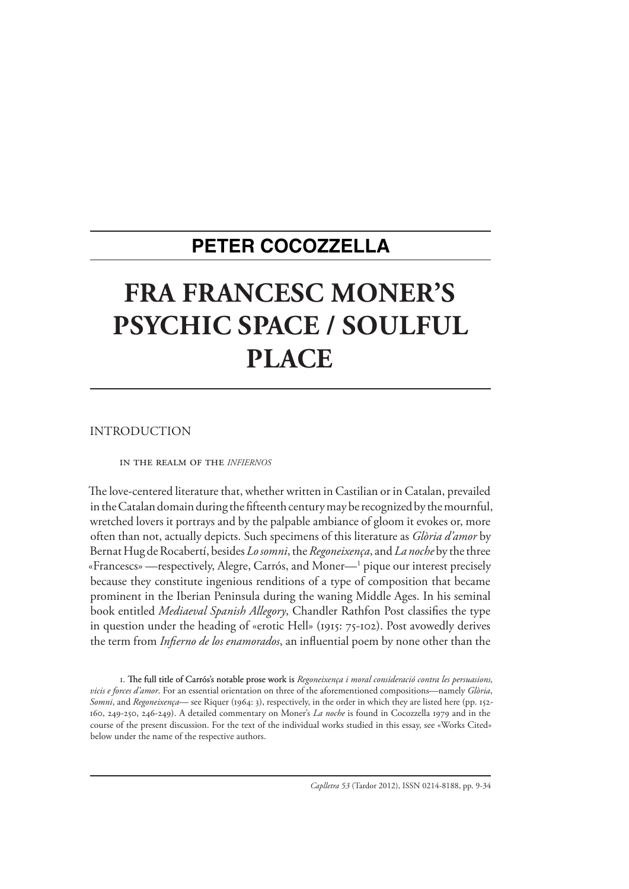# **PETER COCOZZELLA**

# **FRA FRANCESC MONER'S PSYCHIC SPACE / SOULFUL PLACE**

INTRODUCTION

In the Realm of the *infiernos*

The love-centered literature that, whether written in Castilian or in Catalan, prevailed in the Catalan domain during the fifteenth century may be recognized by the mournful, wretched lovers it portrays and by the palpable ambiance of gloom it evokes or, more often than not, actually depicts. Such specimens of this literature as *Glòria d'amor* by Bernat Hug de Rocabertí, besides *Lo somni*, the *Regoneixença*, and *La noche* by the three «Francescs» —respectively, Alegre, Carrós, and Moner—1 pique our interest precisely because they constitute ingenious renditions of a type of composition that became prominent in the Iberian Peninsula during the waning Middle Ages. In his seminal book entitled *Mediaeval Spanish Allegory*, Chandler Rathfon Post classifies the type in question under the heading of «erotic Hell» (1915: 75-102). Post avowedly derives the term from *Infierno de los enamorados*, an influential poem by none other than the

1. The full title of Carrós's notable prose work is Regoneixença i moral consideració contra les persuasions, *vicis e forces d'amor*. For an essential orientation on three of the aforementioned compositions—namely *Glòria*, *Somni*, and *Regoneixença*— see Riquer (1964: 3), respectively, in the order in which they are listed here (pp. 152- 160, 249-250, 246-249). A detailed commentary on Moner's *La noche* is found in Cocozzella 1979 and in the course of the present discussion. For the text of the individual works studied in this essay, see «Works Cited» below under the name of the respective authors.

*Caplletra 53* (Tardor 2012), ISSN 0214-8188, pp. 9-34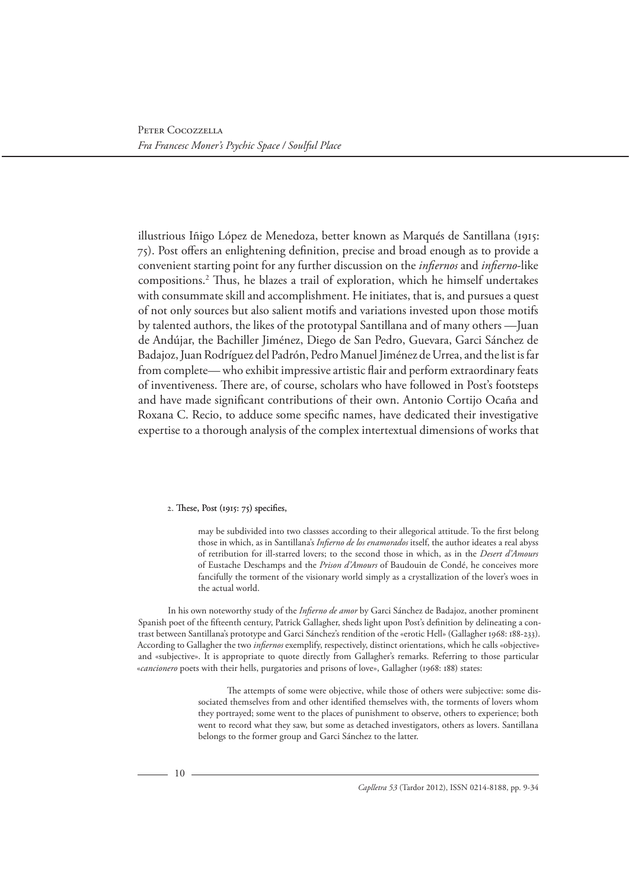illustrious Iñigo López de Menedoza, better known as Marqués de Santillana (1915: 75). Post offers an enlightening definition, precise and broad enough as to provide a convenient starting point for any further discussion on the *infiernos* and *infierno*-like compositions.2 Thus, he blazes a trail of exploration, which he himself undertakes with consummate skill and accomplishment. He initiates, that is, and pursues a quest of not only sources but also salient motifs and variations invested upon those motifs by talented authors, the likes of the prototypal Santillana and of many others —Juan de Andújar, the Bachiller Jiménez, Diego de San Pedro, Guevara, Garci Sánchez de Badajoz, Juan Rodríguez del Padrón, Pedro Manuel Jiménez de Urrea, and the list is far from complete— who exhibit impressive artistic flair and perform extraordinary feats of inventiveness. There are, of course, scholars who have followed in Post's footsteps and have made significant contributions of their own. Antonio Cortijo Ocaña and Roxana C. Recio, to adduce some specific names, have dedicated their investigative expertise to a thorough analysis of the complex intertextual dimensions of works that

## 2. These, Post (1915: 75) specifies,

may be subdivided into two classses according to their allegorical attitude. To the first belong those in which, as in Santillana's *Infierno de los enamorados* itself, the author ideates a real abyss of retribution for ill-starred lovers; to the second those in which, as in the *Desert d'Amours* of Eustache Deschamps and the *Prison d'Amours* of Baudouin de Condé, he conceives more fancifully the torment of the visionary world simply as a crystallization of the lover's woes in the actual world.

In his own noteworthy study of the *Infierno de amor* by Garci Sánchez de Badajoz, another prominent Spanish poet of the fifteenth century, Patrick Gallagher, sheds light upon Post's definition by delineating a contrast between Santillana's prototype and Garci Sánchez's rendition of the «erotic Hell» (Gallagher 1968: 188-233). According to Gallagher the two *infiernos* exemplify, respectively, distinct orientations, which he calls «objective» and «subjective». It is appropriate to quote directly from Gallagher's remarks. Referring to those particular «*cancionero* poets with their hells, purgatories and prisons of love», Gallagher (1968: 188) states:

> The attempts of some were objective, while those of others were subjective: some dissociated themselves from and other identified themselves with, the torments of lovers whom they portrayed; some went to the places of punishment to observe, others to experience; both went to record what they saw, but some as detached investigators, others as lovers. Santillana belongs to the former group and Garci Sánchez to the latter.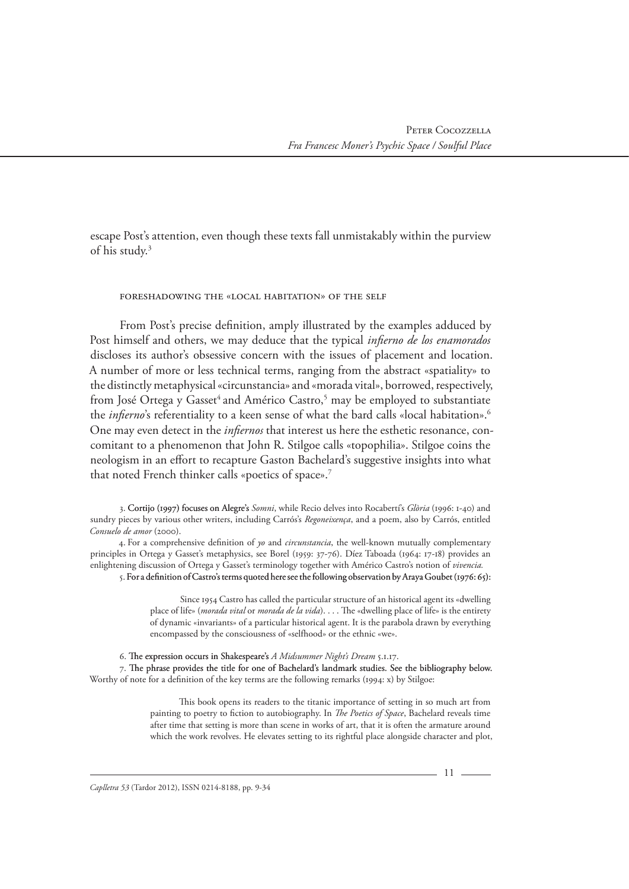escape Post's attention, even though these texts fall unmistakably within the purview of his study.3

Foreshadowing the «Local Habitation» of the Self

From Post's precise definition, amply illustrated by the examples adduced by Post himself and others, we may deduce that the typical *infierno de los enamorados* discloses its author's obsessive concern with the issues of placement and location. A number of more or less technical terms, ranging from the abstract «spatiality» to the distinctly metaphysical «circunstancia» and «morada vital», borrowed, respectively, from José Ortega y Gasset<sup>4</sup> and Américo Castro,<sup>5</sup> may be employed to substantiate the *infierno*'s referentiality to a keen sense of what the bard calls «local habitation».<sup>6</sup> One may even detect in the *infiernos* that interest us here the esthetic resonance, concomitant to a phenomenon that John R. Stilgoe calls «topophilia». Stilgoe coins the neologism in an effort to recapture Gaston Bachelard's suggestive insights into what that noted French thinker calls «poetics of space».7

3. Cortijo (1997) focuses on Alegre's *Somni*, while Recio delves into Rocabertí's *Glòria* (1996: 1-40) and sundry pieces by various other writers, including Carrós's *Regoneixença*, and a poem, also by Carrós, entitled *Consuelo de amor* (2000).

4. For a comprehensive definition of *yo* and *circunstancia*, the well-known mutually complementary principles in Ortega y Gasset's metaphysics, see Borel (1959: 37-76). Díez Taboada (1964: 17-18) provides an enlightening discussion of Ortega y Gasset's terminology together with Américo Castro's notion of *vivencia.*

5. For a definition of Castro's terms quoted here see the following observation by Araya Goubet (1976: 65):

Since 1954 Castro has called the particular structure of an historical agent its «dwelling place of life» (*morada vital* or *morada de la vida*). . . . The «dwelling place of life» is the entirety of dynamic «invariants» of a particular historical agent. It is the parabola drawn by everything encompassed by the consciousness of «selfhood» or the ethnic «we».

6. The expression occurs in Shakespeare's A Midsummer Night's Dream 5.1.17.

7. The phrase provides the title for one of Bachelard's landmark studies. See the bibliography below. Worthy of note for a definition of the key terms are the following remarks (1994: x) by Stilgoe:

> This book opens its readers to the titanic importance of setting in so much art from painting to poetry to fiction to autobiography. In *The Poetics of Space*, Bachelard reveals time after time that setting is more than scene in works of art, that it is often the armature around which the work revolves. He elevates setting to its rightful place alongside character and plot,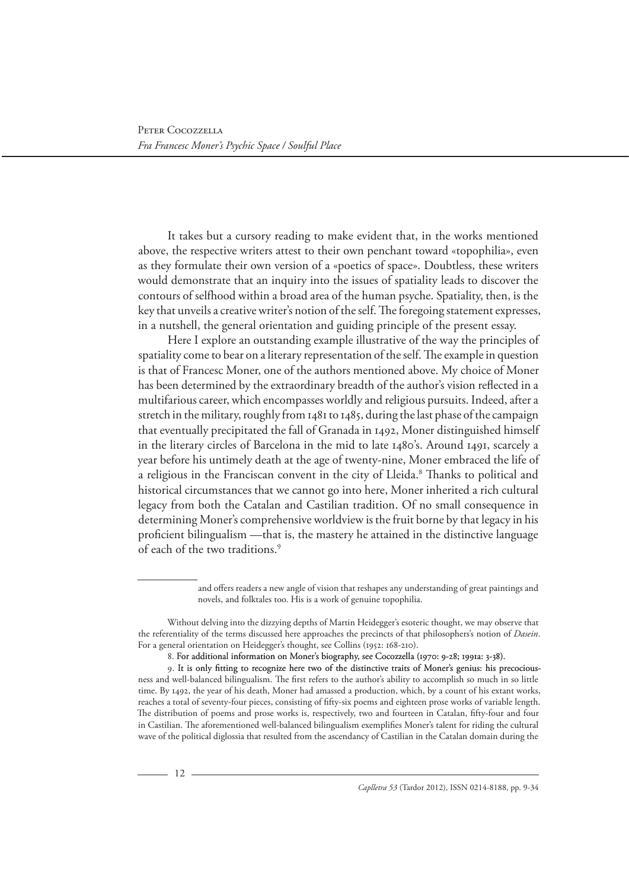It takes but a cursory reading to make evident that, in the works mentioned above, the respective writers attest to their own penchant toward «topophilia», even as they formulate their own version of a «poetics of space». Doubtless, these writers would demonstrate that an inquiry into the issues of spatiality leads to discover the contours of selfhood within a broad area of the human psyche. Spatiality, then, is the key that unveils a creative writer's notion of the self. The foregoing statement expresses, in a nutshell, the general orientation and guiding principle of the present essay.

Here I explore an outstanding example illustrative of the way the principles of spatiality come to bear on a literary representation of the self. The example in question is that of Francesc Moner, one of the authors mentioned above. My choice of Moner has been determined by the extraordinary breadth of the author's vision reflected in a multifarious career, which encompasses worldly and religious pursuits. Indeed, after a stretch in the military, roughly from 1481 to 1485, during the last phase of the campaign that eventually precipitated the fall of Granada in 1492, Moner distinguished himself in the literary circles of Barcelona in the mid to late 1480's. Around 1491, scarcely a year before his untimely death at the age of twenty-nine, Moner embraced the life of a religious in the Franciscan convent in the city of Lleida.<sup>8</sup> Thanks to political and historical circumstances that we cannot go into here, Moner inherited a rich cultural legacy from both the Catalan and Castilian tradition. Of no small consequence in determining Moner's comprehensive worldview is the fruit borne by that legacy in his proficient bilingualism —that is, the mastery he attained in the distinctive language of each of the two traditions.<sup>9</sup>

> and offers readers a new angle of vision that reshapes any understanding of great paintings and novels, and folktales too. His is a work of genuine topophilia.

8. For additional information on Moner's biography, see Cocozzella (1970: 9-28; 1991a: 3-38).

Without delving into the dizzying depths of Martin Heidegger's esoteric thought, we may observe that the referentiality of the terms discussed here approaches the precincts of that philosophers's notion of *Dasein*. For a general orientation on Heidegger's thought, see Collins (1952: 168-210).

<sup>9.</sup> It is only fitting to recognize here two of the distinctive traits of Moner's genius: his precociousness and well-balanced bilingualism. The first refers to the author's ability to accomplish so much in so little time. By 1492, the year of his death, Moner had amassed a production, which, by a count of his extant works, reaches a total of seventy-four pieces, consisting of fifty-six poems and eighteen prose works of variable length. The distribution of poems and prose works is, respectively, two and fourteen in Catalan, fifty-four and four in Castilian. The aforementioned well-balanced bilingualism exemplifies Moner's talent for riding the cultural wave of the political diglossia that resulted from the ascendancy of Castilian in the Catalan domain during the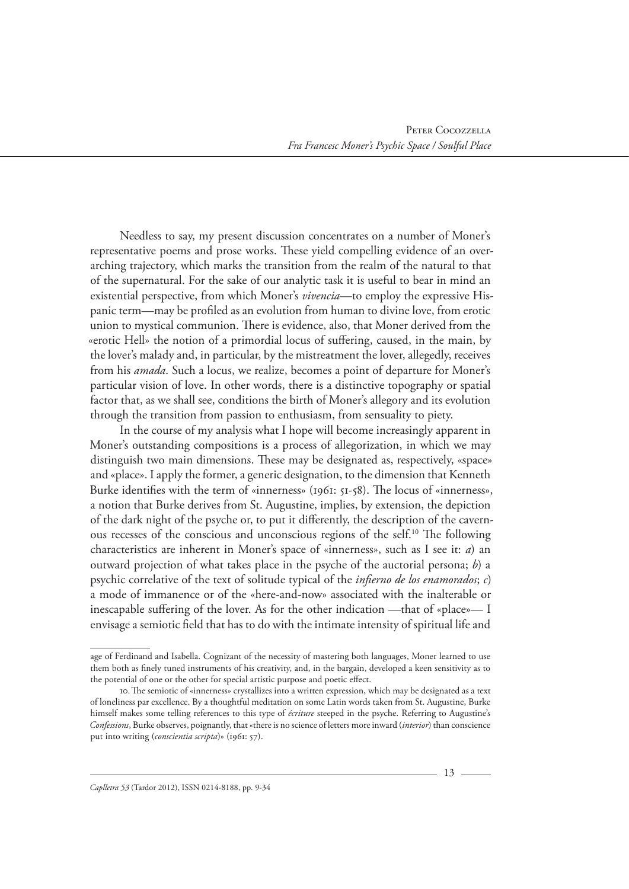Needless to say, my present discussion concentrates on a number of Moner's representative poems and prose works. These yield compelling evidence of an overarching trajectory, which marks the transition from the realm of the natural to that of the supernatural. For the sake of our analytic task it is useful to bear in mind an existential perspective, from which Moner's *vivencia*—to employ the expressive Hispanic term—may be profiled as an evolution from human to divine love, from erotic union to mystical communion. There is evidence, also, that Moner derived from the «erotic Hell» the notion of a primordial locus of suffering, caused, in the main, by the lover's malady and, in particular, by the mistreatment the lover, allegedly, receives from his *amada*. Such a locus, we realize, becomes a point of departure for Moner's particular vision of love. In other words, there is a distinctive topography or spatial factor that, as we shall see, conditions the birth of Moner's allegory and its evolution through the transition from passion to enthusiasm, from sensuality to piety.

In the course of my analysis what I hope will become increasingly apparent in Moner's outstanding compositions is a process of allegorization, in which we may distinguish two main dimensions. These may be designated as, respectively, «space» and «place». I apply the former, a generic designation, to the dimension that Kenneth Burke identifies with the term of «innerness» (1961: 51-58). The locus of «innerness», a notion that Burke derives from St. Augustine, implies, by extension, the depiction of the dark night of the psyche or, to put it differently, the description of the cavernous recesses of the conscious and unconscious regions of the self.10 The following characteristics are inherent in Moner's space of «innerness», such as I see it: *a*) an outward projection of what takes place in the psyche of the auctorial persona; *b*) a psychic correlative of the text of solitude typical of the *infierno de los enamorados*; *c*) a mode of immanence or of the «here-and-now» associated with the inalterable or inescapable suffering of the lover. As for the other indication —that of «place»— I envisage a semiotic field that has to do with the intimate intensity of spiritual life and

age of Ferdinand and Isabella. Cognizant of the necessity of mastering both languages, Moner learned to use them both as finely tuned instruments of his creativity, and, in the bargain, developed a keen sensitivity as to the potential of one or the other for special artistic purpose and poetic effect.

<sup>10.</sup>The semiotic of «innerness» crystallizes into a written expression, which may be designated as a text of loneliness par excellence. By a thoughtful meditation on some Latin words taken from St. Augustine, Burke himself makes some telling references to this type of *écriture* steeped in the psyche. Referring to Augustine's *Confessions*, Burke observes, poignantly, that «there is no science of letters more inward (*interior*) than conscience put into writing (*conscientia scripta*)» (1961: 57).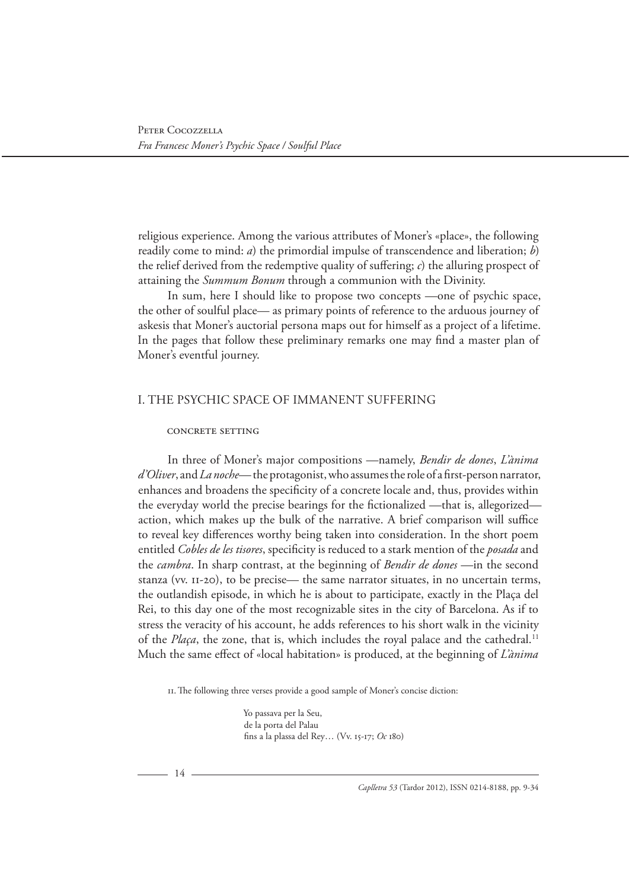religious experience. Among the various attributes of Moner's «place», the following readily come to mind: *a*) the primordial impulse of transcendence and liberation; *b*) the relief derived from the redemptive quality of suffering; *c*) the alluring prospect of attaining the *Summum Bonum* through a communion with the Divinity.

In sum, here I should like to propose two concepts —one of psychic space, the other of soulful place— as primary points of reference to the arduous journey of askesis that Moner's auctorial persona maps out for himself as a project of a lifetime. In the pages that follow these preliminary remarks one may find a master plan of Moner's eventful journey.

# I. THE PSYCHIC SPACE OF IMMANENT SUFFERING

#### CONCRETE SETTING

In three of Moner's major compositions —namely, *Bendir de dones*, *L'ànima d'Oliver*, and *La noche*— the protagonist, who assumes the role of a first-person narrator, enhances and broadens the specificity of a concrete locale and, thus, provides within the everyday world the precise bearings for the fictionalized —that is, allegorized action, which makes up the bulk of the narrative. A brief comparison will suffice to reveal key differences worthy being taken into consideration. In the short poem entitled *Cobles de les tisores*, specificity is reduced to a stark mention of the *posada* and the *cambra*. In sharp contrast, at the beginning of *Bendir de dones* —in the second stanza (vv. 11-20), to be precise— the same narrator situates, in no uncertain terms, the outlandish episode, in which he is about to participate, exactly in the Plaça del Rei, to this day one of the most recognizable sites in the city of Barcelona. As if to stress the veracity of his account, he adds references to his short walk in the vicinity of the *Plaça*, the zone, that is, which includes the royal palace and the cathedral.<sup>11</sup> Much the same effect of «local habitation» is produced, at the beginning of *L'ànima* 

11.The following three verses provide a good sample of Moner's concise diction:

Yo passava per la Seu, de la porta del Palau fins a la plassa del Rey… (Vv. 15-17; *Oc* 180)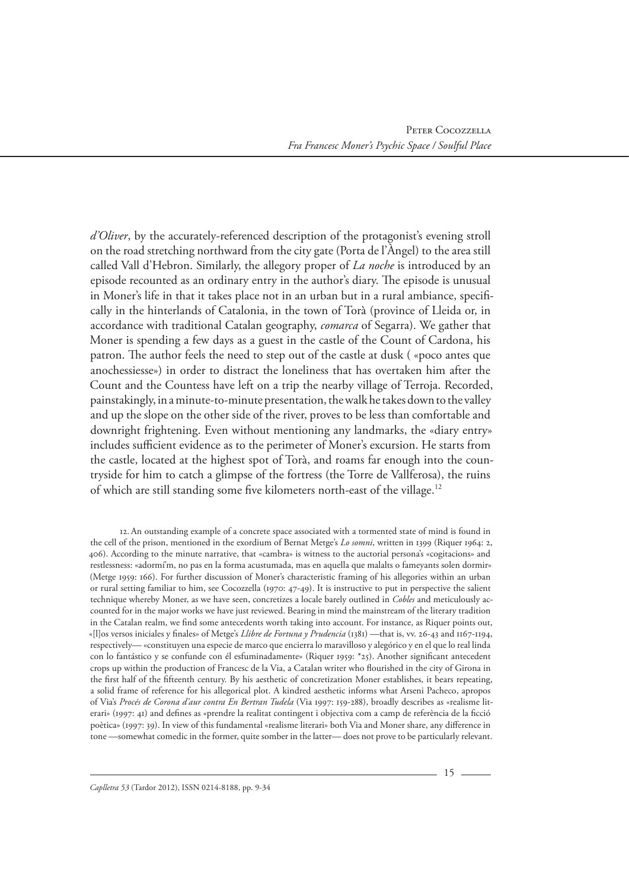*d'Oliver*, by the accurately-referenced description of the protagonist's evening stroll on the road stretching northward from the city gate (Porta de l'Àngel) to the area still called Vall d'Hebron. Similarly, the allegory proper of *La noche* is introduced by an episode recounted as an ordinary entry in the author's diary. The episode is unusual in Moner's life in that it takes place not in an urban but in a rural ambiance, specifically in the hinterlands of Catalonia, in the town of Torà (province of Lleida or, in accordance with traditional Catalan geography, *comarca* of Segarra). We gather that Moner is spending a few days as a guest in the castle of the Count of Cardona, his patron. The author feels the need to step out of the castle at dusk ( «poco antes que anochessiesse») in order to distract the loneliness that has overtaken him after the Count and the Countess have left on a trip the nearby village of Terroja. Recorded, painstakingly, in a minute-to-minute presentation, the walk he takes down to the valley and up the slope on the other side of the river, proves to be less than comfortable and downright frightening. Even without mentioning any landmarks, the «diary entry» includes sufficient evidence as to the perimeter of Moner's excursion. He starts from the castle, located at the highest spot of Torà, and roams far enough into the countryside for him to catch a glimpse of the fortress (the Torre de Vallferosa), the ruins of which are still standing some five kilometers north-east of the village.12

12.An outstanding example of a concrete space associated with a tormented state of mind is found in the cell of the prison, mentioned in the exordium of Bernat Metge's *Lo somni*, written in 1399 (Riquer 1964: 2, 406). According to the minute narrative, that «cambra» is witness to the auctorial persona's «cogitacions» and restlessness: «adormí'm, no pas en la forma acustumada, mas en aquella que malalts o fameyants solen dormir» (Metge 1959: 166). For further discussion of Moner's characteristic framing of his allegories within an urban or rural setting familiar to him, see Cocozzella (1970: 47-49). It is instructive to put in perspective the salient technique whereby Moner, as we have seen, concretizes a locale barely outlined in *Cobles* and meticulously accounted for in the major works we have just reviewed. Bearing in mind the mainstream of the literary tradition in the Catalan realm, we find some antecedents worth taking into account. For instance, as Riquer points out, «[l]os versos iniciales y finales» of Metge's *Llibre de Fortuna y Prudencia* (1381) —that is, vv. 26-43 and 1167-1194, respectively— «constituyen una especie de marco que encierra lo maravilloso y alegórico y en el que lo real linda con lo fantástico y se confunde con él esfuminadamente» (Riquer 1959: \*25). Another significant antecedent crops up within the production of Francesc de la Via, a Catalan writer who flourished in the city of Girona in the first half of the fifteenth century. By his aesthetic of concretization Moner establishes, it bears repeating, a solid frame of reference for his allegorical plot. A kindred aesthetic informs what Arseni Pacheco, apropos of Via's *Procés de Corona d'aur contra En Bertran Tudela* (Via 1997: 159-288), broadly describes as «realisme literari» (1997: 41) and defines as «prendre la realitat contingent i objectiva com a camp de referència de la ficció poètica» (1997: 39). In view of this fundamental «realisme literari» both Via and Moner share, any difference in tone —somewhat comedic in the former, quite somber in the latter— does not prove to be particularly relevant.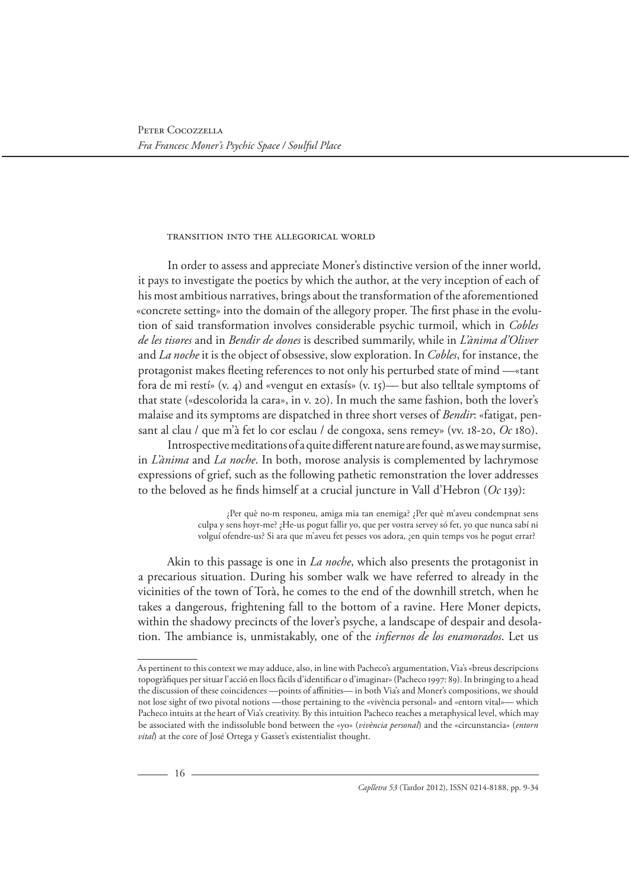#### Transition into the Allegorical World

In order to assess and appreciate Moner's distinctive version of the inner world, it pays to investigate the poetics by which the author, at the very inception of each of his most ambitious narratives, brings about the transformation of the aforementioned «concrete setting» into the domain of the allegory proper. The first phase in the evolution of said transformation involves considerable psychic turmoil, which in *Cobles de les tisores* and in *Bendir de dones* is described summarily, while in *L'ànima d'Oliver* and *La noche* it is the object of obsessive, slow exploration. In *Cobles*, for instance, the protagonist makes fleeting references to not only his perturbed state of mind —«tant fora de mi restí» (v. 4) and «vengut en extasís» (v. 15)— but also telltale symptoms of that state («descolorida la cara», in v. 20). In much the same fashion, both the lover's malaise and its symptoms are dispatched in three short verses of *Bendir*: «fatigat, pensant al clau / que m'à fet lo cor esclau / de congoxa, sens remey» (vv. 18-20, *Oc* 180).

Introspective meditations of a quite different nature are found, as we may surmise, in *L'ànima* and *La noche*. In both, morose analysis is complemented by lachrymose expressions of grief, such as the following pathetic remonstration the lover addresses to the beloved as he finds himself at a crucial juncture in Vall d'Hebron (*Oc* 139):

> ¿Per què no·m responeu, amiga mia tan enemiga? ¿Per què m'aveu condempnat sens culpa y sens hoyr-me? ¿He-us pogut fallir yo, que per vostra servey só fet, yo que nunca sabí ni volguí ofendre-us? Si ara que m'aveu fet pesses vos adora, ¿en quin temps vos he pogut errar?

Akin to this passage is one in *La noche*, which also presents the protagonist in a precarious situation. During his somber walk we have referred to already in the vicinities of the town of Torà, he comes to the end of the downhill stretch, when he takes a dangerous, frightening fall to the bottom of a ravine. Here Moner depicts, within the shadowy precincts of the lover's psyche, a landscape of despair and desolation. The ambiance is, unmistakably, one of the *infiernos de los enamorados*. Let us

As pertinent to this context we may adduce, also, in line with Pacheco's argumentation, Via's «breus descripcions topogràfiques per situar l'acció en llocs fàcils d'identificar o d'imaginar» (Pacheco 1997: 89). In bringing to a head the discussion of these coincidences —points of affinities— in both Via's and Moner's compositions, we should not lose sight of two pivotal notions —those pertaining to the «vivència personal» and «entorn vital»— which Pacheco intuits at the heart of Via's creativity. By this intuition Pacheco reaches a metaphysical level, which may be associated with the indissoluble bond between the «yo» (*vivència personal*) and the «circunstancia» (*entorn vital*) at the core of José Ortega y Gasset's existentialist thought.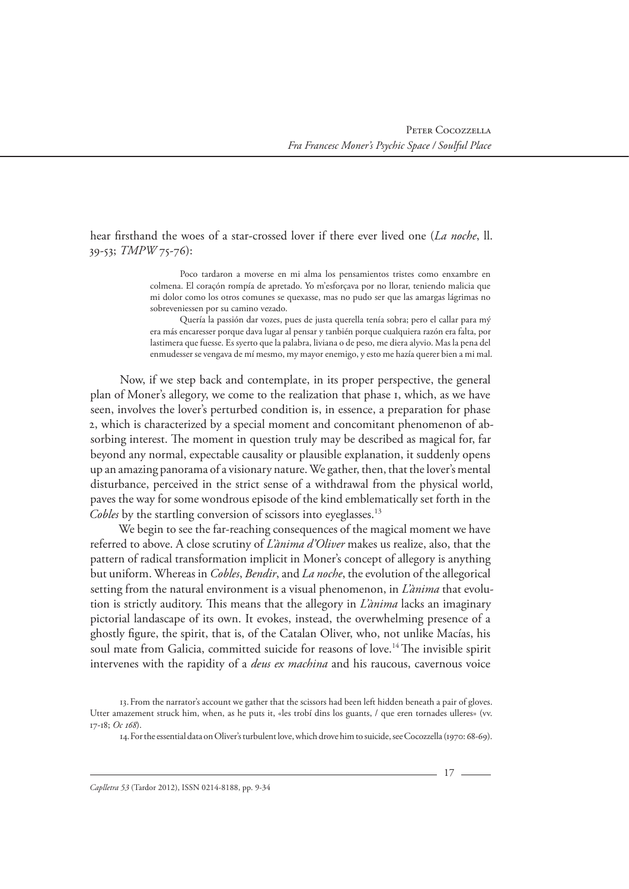hear firsthand the woes of a star-crossed lover if there ever lived one (*La noche*, ll. 39-53; *TMPW* 75-76):

> Poco tardaron a moverse en mi alma los pensamientos tristes como enxambre en colmena. El coraçón rompía de apretado. Yo m'esforçava por no llorar, teniendo malicia que mi dolor como los otros comunes se quexasse, mas no pudo ser que las amargas lágrimas no sobreveniessen por su camino vezado.

> Quería la passión dar vozes, pues de justa querella tenía sobra; pero el callar para mý era más encaresser porque dava lugar al pensar y tanbién porque cualquiera razón era falta, por lastimera que fuesse. Es syerto que la palabra, liviana o de peso, me diera alyvio. Mas la pena del enmudesser se vengava de mí mesmo, my mayor enemigo, y esto me hazía querer bien a mi mal.

Now, if we step back and contemplate, in its proper perspective, the general plan of Moner's allegory, we come to the realization that phase 1, which, as we have seen, involves the lover's perturbed condition is, in essence, a preparation for phase 2, which is characterized by a special moment and concomitant phenomenon of absorbing interest. The moment in question truly may be described as magical for, far beyond any normal, expectable causality or plausible explanation, it suddenly opens up an amazing panorama of a visionary nature. We gather, then, that the lover's mental disturbance, perceived in the strict sense of a withdrawal from the physical world, paves the way for some wondrous episode of the kind emblematically set forth in the *Cobles* by the startling conversion of scissors into eyeglasses.<sup>13</sup>

We begin to see the far-reaching consequences of the magical moment we have referred to above. A close scrutiny of *L'ànima d'Oliver* makes us realize, also, that the pattern of radical transformation implicit in Moner's concept of allegory is anything but uniform. Whereas in *Cobles*, *Bendir*, and *La noche*, the evolution of the allegorical setting from the natural environment is a visual phenomenon, in *L'ànima* that evolution is strictly auditory. This means that the allegory in *L'ànima* lacks an imaginary pictorial landascape of its own. It evokes, instead, the overwhelming presence of a ghostly figure, the spirit, that is, of the Catalan Oliver, who, not unlike Macías, his soul mate from Galicia, committed suicide for reasons of love.<sup>14</sup> The invisible spirit intervenes with the rapidity of a *deus ex machina* and his raucous, cavernous voice

<sup>13.</sup>From the narrator's account we gather that the scissors had been left hidden beneath a pair of gloves. Utter amazement struck him, when, as he puts it, «les trobí dins los guants, / que eren tornades ulleres» (vv. 17-18; *Oc 168*).

<sup>14.</sup>For the essential data on Oliver's turbulent love, which drove him to suicide, see Cocozzella (1970: 68-69).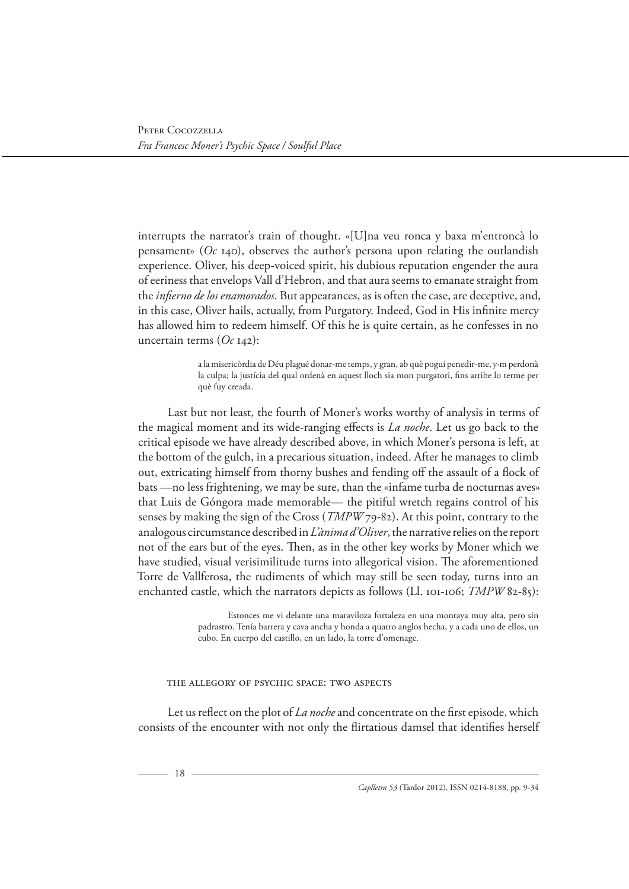interrupts the narrator's train of thought. «[U]na veu ronca y baxa m'entroncà lo pensament» ( $Oc_{14}$ o), observes the author's persona upon relating the outlandish experience. Oliver, his deep-voiced spirit, his dubious reputation engender the aura of eeriness that envelops Vall d'Hebron, and that aura seems to emanate straight from the *infierno de los enamorados*. But appearances, as is often the case, are deceptive, and, in this case, Oliver hails, actually, from Purgatory. Indeed, God in His infinite mercy has allowed him to redeem himself. Of this he is quite certain, as he confesses in no uncertain terms (*Oc* 142):

> a la misericòrdia de Déu plagué donar-me temps, y gran, ab què poguí penedir-me, y·m perdonà la culpa; la justícia del qual ordenà en aquest lloch sia mon purgatori, fins arribe lo terme per què fuy creada.

Last but not least, the fourth of Moner's works worthy of analysis in terms of the magical moment and its wide-ranging effects is *La noche*. Let us go back to the critical episode we have already described above, in which Moner's persona is left, at the bottom of the gulch, in a precarious situation, indeed. After he manages to climb out, extricating himself from thorny bushes and fending off the assault of a flock of bats —no less frightening, we may be sure, than the «infame turba de nocturnas aves» that Luis de Góngora made memorable— the pitiful wretch regains control of his senses by making the sign of the Cross (*TMPW* 79-82). At this point, contrary to the analogous circumstance described in *L'ànima d'Oliver*, the narrative relies on the report not of the ears but of the eyes. Then, as in the other key works by Moner which we have studied, visual verisimilitude turns into allegorical vision. The aforementioned Torre de Vallferosa, the rudiments of which may still be seen today, turns into an enchanted castle, which the narrators depicts as follows (Ll. 101-106; *TMPW* 82-85):

> Estonces me vi delante una maraviloza fortaleza en una montaya muy alta, pero sin padrastro. Tenía barrera y cava ancha y honda a quatro anglos hecha, y a cada uno de ellos, un cubo. En cuerpo del castillo, en un lado, la torre d'omenage.

#### The Allegory of Psychic Space: Two Aspects

Let us reflect on the plot of *La noche* and concentrate on the first episode, which consists of the encounter with not only the flirtatious damsel that identifies herself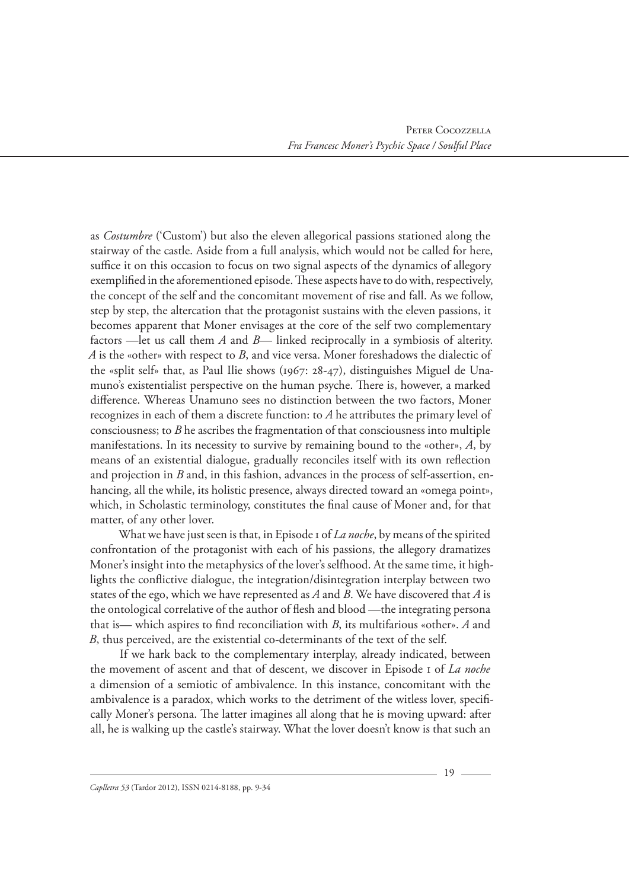as *Costumbre* ('Custom') but also the eleven allegorical passions stationed along the stairway of the castle. Aside from a full analysis, which would not be called for here, suffice it on this occasion to focus on two signal aspects of the dynamics of allegory exemplified in the aforementioned episode. These aspects have to do with, respectively, the concept of the self and the concomitant movement of rise and fall. As we follow, step by step, the altercation that the protagonist sustains with the eleven passions, it becomes apparent that Moner envisages at the core of the self two complementary factors —let us call them *A* and *B*— linked reciprocally in a symbiosis of alterity. *A* is the «other» with respect to *B*, and vice versa. Moner foreshadows the dialectic of the «split self» that, as Paul Ilie shows (1967: 28-47), distinguishes Miguel de Unamuno's existentialist perspective on the human psyche. There is, however, a marked difference. Whereas Unamuno sees no distinction between the two factors, Moner recognizes in each of them a discrete function: to *A* he attributes the primary level of consciousness; to *B* he ascribes the fragmentation of that consciousness into multiple manifestations. In its necessity to survive by remaining bound to the «other», *A*, by means of an existential dialogue, gradually reconciles itself with its own reflection and projection in *B* and, in this fashion, advances in the process of self-assertion, enhancing, all the while, its holistic presence, always directed toward an «omega point», which, in Scholastic terminology, constitutes the final cause of Moner and, for that matter, of any other lover.

What we have just seen is that, in Episode 1 of *La noche*, by means of the spirited confrontation of the protagonist with each of his passions, the allegory dramatizes Moner's insight into the metaphysics of the lover's selfhood. At the same time, it highlights the conflictive dialogue, the integration/disintegration interplay between two states of the ego, which we have represented as *A* and *B*. We have discovered that *A* is the ontological correlative of the author of flesh and blood —the integrating persona that is— which aspires to find reconciliation with *B*, its multifarious «other». *A* and *B*, thus perceived, are the existential co-determinants of the text of the self.

If we hark back to the complementary interplay, already indicated, between the movement of ascent and that of descent, we discover in Episode 1 of *La noche* a dimension of a semiotic of ambivalence. In this instance, concomitant with the ambivalence is a paradox, which works to the detriment of the witless lover, specifically Moner's persona. The latter imagines all along that he is moving upward: after all, he is walking up the castle's stairway. What the lover doesn't know is that such an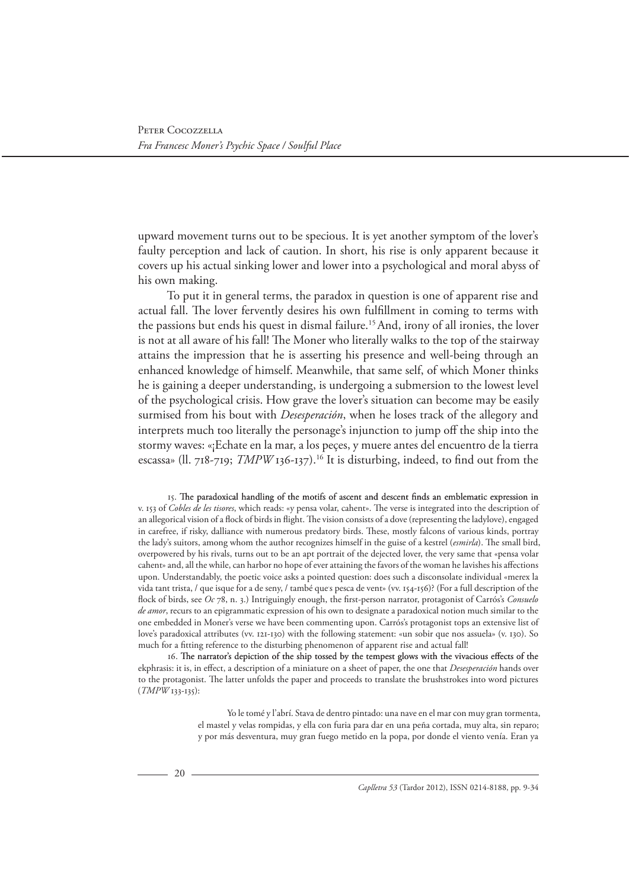upward movement turns out to be specious. It is yet another symptom of the lover's faulty perception and lack of caution. In short, his rise is only apparent because it covers up his actual sinking lower and lower into a psychological and moral abyss of his own making.

To put it in general terms, the paradox in question is one of apparent rise and actual fall. The lover fervently desires his own fulfillment in coming to terms with the passions but ends his quest in dismal failure.15 And, irony of all ironies, the lover is not at all aware of his fall! The Moner who literally walks to the top of the stairway attains the impression that he is asserting his presence and well-being through an enhanced knowledge of himself. Meanwhile, that same self, of which Moner thinks he is gaining a deeper understanding, is undergoing a submersion to the lowest level of the psychological crisis. How grave the lover's situation can become may be easily surmised from his bout with *Desesperación*, when he loses track of the allegory and interprets much too literally the personage's injunction to jump off the ship into the stormy waves: «¡Echate en la mar, a los peçes, y muere antes del encuentro de la tierra escassa» (ll. 718-719; *TMPW* 136-137).<sup>16</sup> It is disturbing, indeed, to find out from the

15. The paradoxical handling of the motifs of ascent and descent finds an emblematic expression in v. 153 of *Cobles de les tisores*, which reads: «y pensa volar, cahent». The verse is integrated into the description of an allegorical vision of a flock of birds in flight. The vision consists of a dove (representing the ladylove), engaged in carefree, if risky, dalliance with numerous predatory birds. These, mostly falcons of various kinds, portray the lady's suitors, among whom the author recognizes himself in the guise of a kestrel (*esmirla*). The small bird, overpowered by his rivals, turns out to be an apt portrait of the dejected lover, the very same that «pensa volar cahent» and, all the while, can harbor no hope of ever attaining the favors of the woman he lavishes his affections upon. Understandably, the poetic voice asks a pointed question: does such a disconsolate individual «merex la vida tant trista, / que isque for a de seny, / també que s pesca de vent» (vv. 154-156)? (For a full description of the flock of birds, see *Oc* 78, n. 3.) Intriguingly enough, the first-person narrator, protagonist of Carrós's *Consuelo de amor*, recurs to an epigrammatic expression of his own to designate a paradoxical notion much similar to the one embedded in Moner's verse we have been commenting upon. Carrós's protagonist tops an extensive list of love's paradoxical attributes (vv. 121-130) with the following statement: «un sobir que nos assuela» (v. 130). So much for a fitting reference to the disturbing phenomenon of apparent rise and actual fall!

16. The narrator's depiction of the ship tossed by the tempest glows with the vivacious effects of the ekphrasis: it is, in effect, a description of a miniature on a sheet of paper, the one that *Desesperación* hands over to the protagonist. The latter unfolds the paper and proceeds to translate the brushstrokes into word pictures (*TMPW* 133-135):

> Yo le tomé y l'abrí. Stava de dentro pintado: una nave en el mar con muy gran tormenta, el mastel y velas rompidas, y ella con furia para dar en una peña cortada, muy alta, sin reparo; y por más desventura, muy gran fuego metido en la popa, por donde el viento venía. Eran ya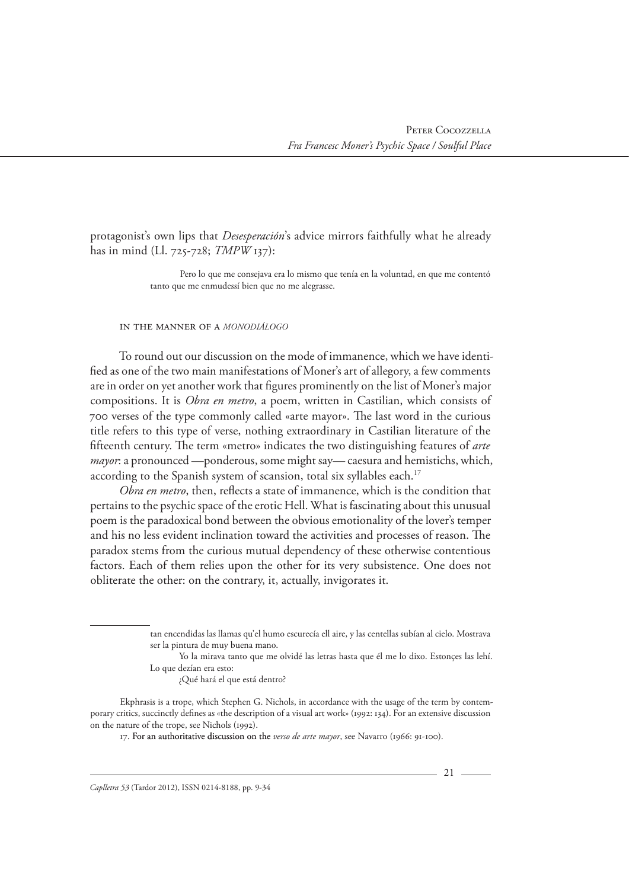protagonist's own lips that *Desesperación*'s advice mirrors faithfully what he already has in mind (Ll. 725-728; *TMPW* 137):

> Pero lo que me consejava era lo mismo que tenía en la voluntad, en que me contentó tanto que me enmudessí bien que no me alegrasse.

#### In the Manner of a *monodiálogo*

To round out our discussion on the mode of immanence, which we have identified as one of the two main manifestations of Moner's art of allegory, a few comments are in order on yet another work that figures prominently on the list of Moner's major compositions. It is *Obra en metro*, a poem, written in Castilian, which consists of 700 verses of the type commonly called «arte mayor». The last word in the curious title refers to this type of verse, nothing extraordinary in Castilian literature of the fifteenth century. The term «metro» indicates the two distinguishing features of *arte mayor*: a pronounced —ponderous, some might say— caesura and hemistichs, which, according to the Spanish system of scansion, total six syllables each.<sup>17</sup>

*Obra en metro*, then, reflects a state of immanence, which is the condition that pertains to the psychic space of the erotic Hell. What is fascinating about this unusual poem is the paradoxical bond between the obvious emotionality of the lover's temper and his no less evident inclination toward the activities and processes of reason. The paradox stems from the curious mutual dependency of these otherwise contentious factors. Each of them relies upon the other for its very subsistence. One does not obliterate the other: on the contrary, it, actually, invigorates it.

Yo la mirava tanto que me olvidé las letras hasta que él me lo dixo. Estonçes las lehí. Lo que dezían era esto:

¿Qué hará el que está dentro?

Ekphrasis is a trope, which Stephen G. Nichols, in accordance with the usage of the term by contemporary critics, succinctly defines as «the description of a visual art work» (1992: 134). For an extensive discussion on the nature of the trope, see Nichols (1992).

17. For an authoritative discussion on the *verso de arte mayor*, see Navarro (1966: 91-100).

tan encendidas las llamas qu'el humo escurecía ell aire, y las centellas subían al cielo. Mostrava ser la pintura de muy buena mano.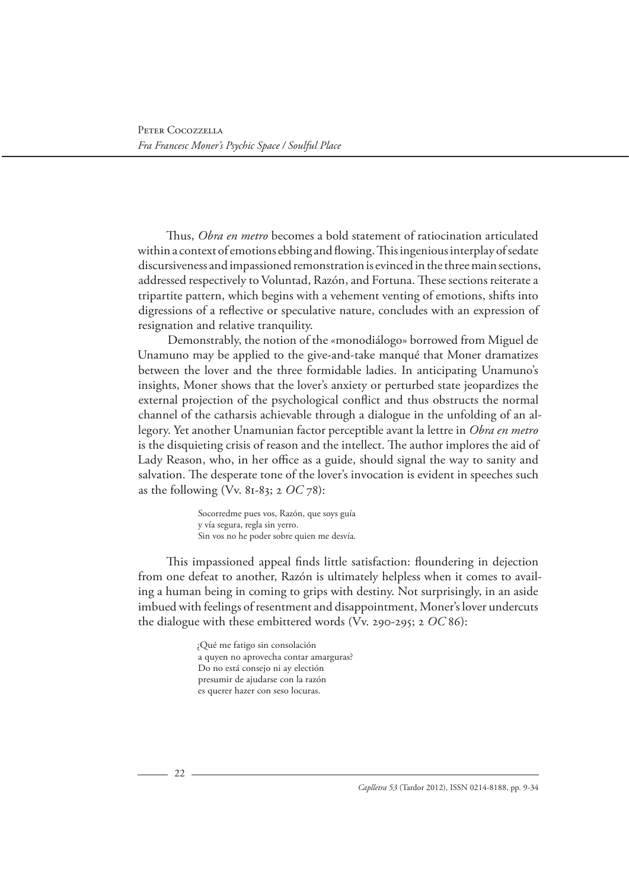Thus, *Obra en metro* becomes a bold statement of ratiocination articulated within a context of emotions ebbing and flowing. This ingenious interplay of sedate discursiveness and impassioned remonstration is evinced in the three main sections, addressed respectively to Voluntad, Razón, and Fortuna. These sections reiterate a tripartite pattern, which begins with a vehement venting of emotions, shifts into digressions of a reflective or speculative nature, concludes with an expression of resignation and relative tranquility.

Demonstrably, the notion of the «monodiálogo» borrowed from Miguel de Unamuno may be applied to the give-and-take manqué that Moner dramatizes between the lover and the three formidable ladies. In anticipating Unamuno's insights, Moner shows that the lover's anxiety or perturbed state jeopardizes the external projection of the psychological conflict and thus obstructs the normal channel of the catharsis achievable through a dialogue in the unfolding of an allegory. Yet another Unamunian factor perceptible avant la lettre in *Obra en metro* is the disquieting crisis of reason and the intellect. The author implores the aid of Lady Reason, who, in her office as a guide, should signal the way to sanity and salvation. The desperate tone of the lover's invocation is evident in speeches such as the following (Vv. 81-83; 2 *OC* 78):

> Socorredme pues vos, Razón, que soys guía y vía segura, regla sin yerro. Sin vos no he poder sobre quien me desvía.

This impassioned appeal finds little satisfaction: floundering in dejection from one defeat to another, Razón is ultimately helpless when it comes to availing a human being in coming to grips with destiny. Not surprisingly, in an aside imbued with feelings of resentment and disappointment, Moner's lover undercuts the dialogue with these embittered words (Vv. 290-295; 2 *OC* 86):

> ¿Qué me fatigo sin consolación a quyen no aprovecha contar amarguras? Do no está consejo ni ay electión presumir de ajudarse con la razón es querer hazer con seso locuras.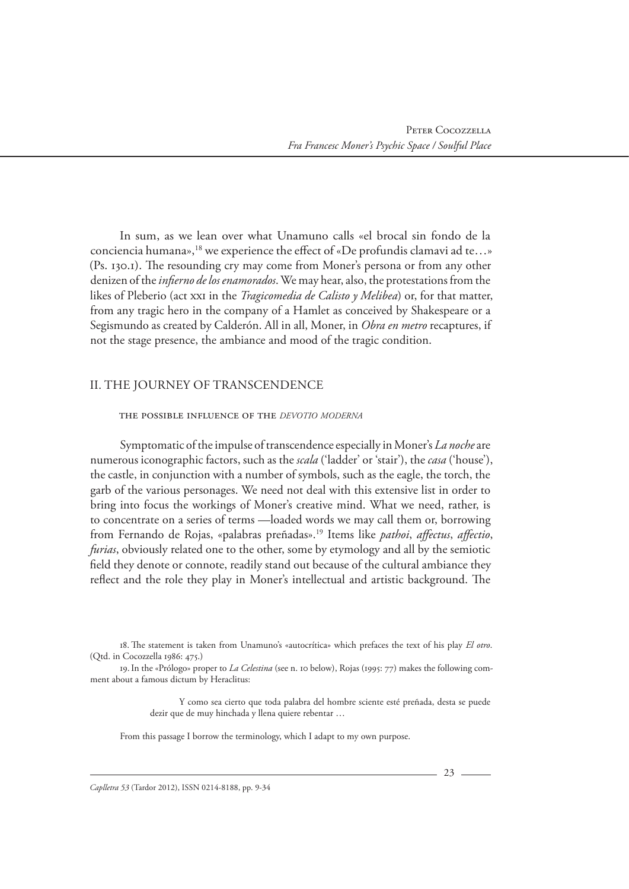In sum, as we lean over what Unamuno calls «el brocal sin fondo de la conciencia humana»,<sup>18</sup> we experience the effect of «De profundis clamavi ad te...» (Ps. 130.1). The resounding cry may come from Moner's persona or from any other denizen of the *infierno de los enamorados*. We may hear, also, the protestations from the likes of Pleberio (act xxi in the *Tragicomedia de Calisto y Melibea*) or, for that matter, from any tragic hero in the company of a Hamlet as conceived by Shakespeare or a Segismundo as created by Calderón. All in all, Moner, in *Obra en metro* recaptures, if not the stage presence, the ambiance and mood of the tragic condition.

# II. THE JOURNEY OF TRANSCENDENCE

#### The Possible Influence of the *devotio moderna*

Symptomatic of the impulse of transcendence especially in Moner's *La noche* are numerous iconographic factors, such as the *scala* ('ladder' or 'stair'), the *casa* ('house'), the castle, in conjunction with a number of symbols, such as the eagle, the torch, the garb of the various personages. We need not deal with this extensive list in order to bring into focus the workings of Moner's creative mind. What we need, rather, is to concentrate on a series of terms —loaded words we may call them or, borrowing from Fernando de Rojas, «palabras preñadas».19 Items like *pathoi*, *affectus*, *affectio*, *furias*, obviously related one to the other, some by etymology and all by the semiotic field they denote or connote, readily stand out because of the cultural ambiance they reflect and the role they play in Moner's intellectual and artistic background. The

Y como sea cierto que toda palabra del hombre sciente esté preñada, desta se puede dezir que de muy hinchada y llena quiere rebentar …

From this passage I borrow the terminology, which I adapt to my own purpose.

<sup>18.</sup> The statement is taken from Unamuno's «autocrítica» which prefaces the text of his play *El otro*. (Qtd. in Cocozzella 1986: 475.)

<sup>19.</sup>In the «Prólogo» proper to *La Celestina* (see n. 10 below), Rojas (1995: 77) makes the following comment about a famous dictum by Heraclitus: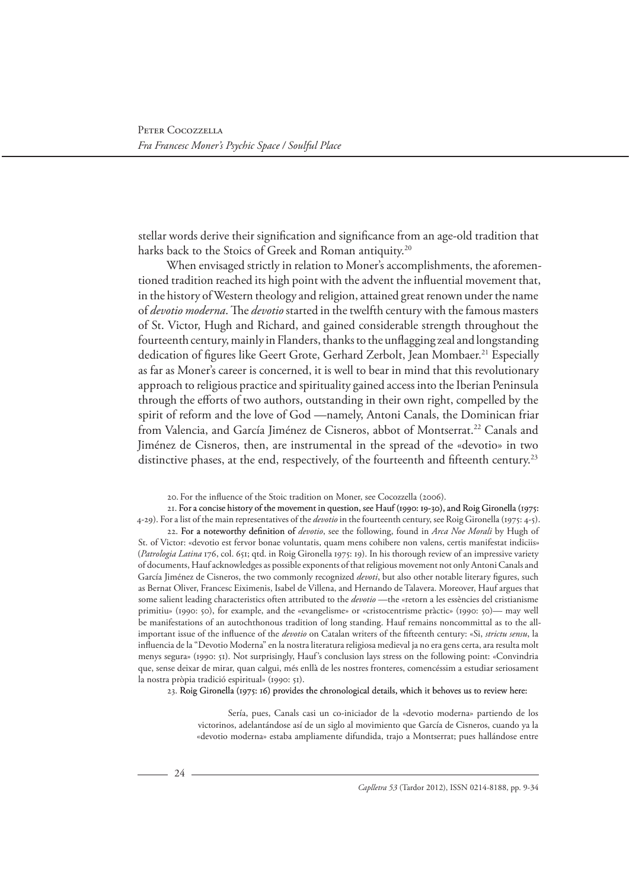stellar words derive their signification and significance from an age-old tradition that harks back to the Stoics of Greek and Roman antiquity.<sup>20</sup>

When envisaged strictly in relation to Moner's accomplishments, the aforementioned tradition reached its high point with the advent the influential movement that, in the history of Western theology and religion, attained great renown under the name of *devotio moderna*. The *devotio* started in the twelfth century with the famous masters of St. Victor, Hugh and Richard, and gained considerable strength throughout the fourteenth century, mainly in Flanders, thanks to the unflagging zeal and longstanding dedication of figures like Geert Grote, Gerhard Zerbolt, Jean Mombaer.<sup>21</sup> Especially as far as Moner's career is concerned, it is well to bear in mind that this revolutionary approach to religious practice and spirituality gained access into the Iberian Peninsula through the efforts of two authors, outstanding in their own right, compelled by the spirit of reform and the love of God —namely, Antoni Canals, the Dominican friar from Valencia, and García Jiménez de Cisneros, abbot of Montserrat.22 Canals and Jiménez de Cisneros, then, are instrumental in the spread of the «devotio» in two distinctive phases, at the end, respectively, of the fourteenth and fifteenth century.<sup>23</sup>

20. For the influence of the Stoic tradition on Moner, see Cocozzella (2006).

21. For a concise history of the movement in question, see Hauf (1990: 19-30), and Roig Gironella (1975: 4-29). For a list of the main representatives of the *devotio* in the fourteenth century, see Roig Gironella (1975: 4-5).

22. For a noteworthy definition of devotio, see the following, found in Arca Noe Morali by Hugh of St. of Victor: «devotio est fervor bonae voluntatis, quam mens cohibere non valens, certis manifestat indiciis» (*Patrologia Latina* 176, col. 651; qtd. in Roig Gironella 1975: 19). In his thorough review of an impressive variety of documents, Hauf acknowledges as possible exponents of that religious movement not only Antoni Canals and García Jiménez de Cisneros, the two commonly recognized *devoti*, but also other notable literary figures, such as Bernat Oliver, Francesc Eiximenis, Isabel de Villena, and Hernando de Talavera. Moreover, Hauf argues that some salient leading characteristics often attributed to the *devotio* —the «retorn a les essències del cristianisme primitiu» (1990: 50), for example, and the «evangelisme» or «cristocentrisme pràctic» (1990: 50)— may well be manifestations of an autochthonous tradition of long standing. Hauf remains noncommittal as to the allimportant issue of the influence of the *devotio* on Catalan writers of the fifteenth century: «Si, *strictu sensu*, la influencia de la "Devotio Moderna" en la nostra literatura religiosa medieval ja no era gens certa, ara resulta molt menys segura» (1990: 51). Not surprisingly, Hauf's conclusion lays stress on the following point: «Convindria que, sense deixar de mirar, quan calgui, més enllà de les nostres fronteres, comencéssim a estudiar seriosament la nostra pròpia tradició espiritual» (1990: 51).

23. Roig Gironella (1975: 16) provides the chronological details, which it behoves us to review here:

Sería, pues, Canals casi un co-iniciador de la «devotio moderna» partiendo de los victorinos, adelantándose así de un siglo al movimiento que García de Cisneros, cuando ya la «devotio moderna» estaba ampliamente difundida, trajo a Montserrat; pues hallándose entre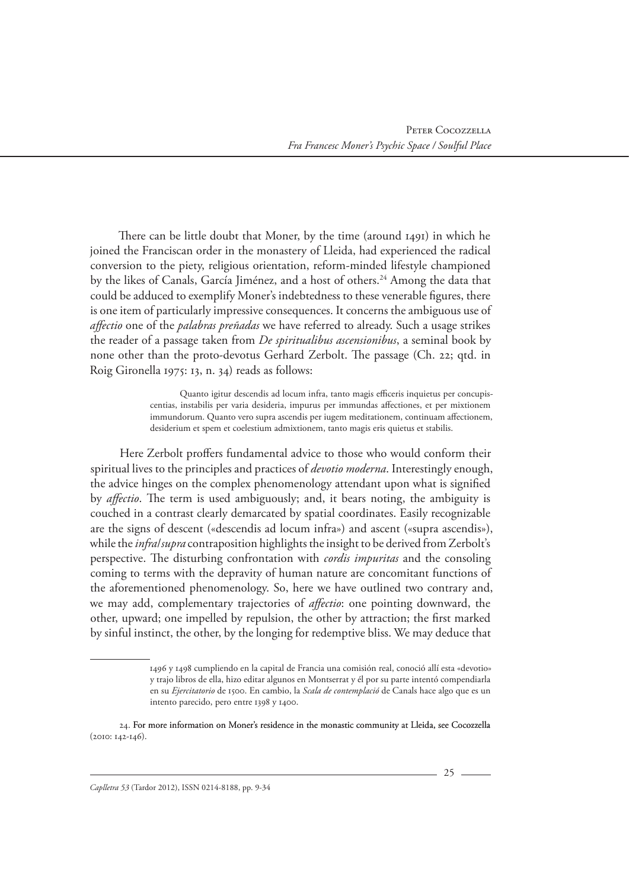There can be little doubt that Moner, by the time (around 1491) in which he joined the Franciscan order in the monastery of Lleida, had experienced the radical conversion to the piety, religious orientation, reform-minded lifestyle championed by the likes of Canals, García Jiménez, and a host of others.<sup>24</sup> Among the data that could be adduced to exemplify Moner's indebtedness to these venerable figures, there is one item of particularly impressive consequences. It concerns the ambiguous use of *affectio* one of the *palabras preñadas* we have referred to already. Such a usage strikes the reader of a passage taken from *De spiritualibus ascensionibus*, a seminal book by none other than the proto-devotus Gerhard Zerbolt. The passage (Ch. 22; qtd. in Roig Gironella 1975: 13, n. 34) reads as follows:

> Quanto igitur descendis ad locum infra, tanto magis efficeris inquietus per concupiscentias, instabilis per varia desideria, impurus per immundas affectiones, et per mixtionem immundorum. Quanto vero supra ascendis per iugem meditationem, continuam affectionem, desiderium et spem et coelestium admixtionem, tanto magis eris quietus et stabilis.

Here Zerbolt proffers fundamental advice to those who would conform their spiritual lives to the principles and practices of *devotio moderna*. Interestingly enough, the advice hinges on the complex phenomenology attendant upon what is signified by *affectio*. The term is used ambiguously; and, it bears noting, the ambiguity is couched in a contrast clearly demarcated by spatial coordinates. Easily recognizable are the signs of descent («descendis ad locum infra») and ascent («supra ascendis»), while the *infra*/*supra* contraposition highlights the insight to be derived from Zerbolt's perspective. The disturbing confrontation with *cordis impuritas* and the consoling coming to terms with the depravity of human nature are concomitant functions of the aforementioned phenomenology. So, here we have outlined two contrary and, we may add, complementary trajectories of *affectio*: one pointing downward, the other, upward; one impelled by repulsion, the other by attraction; the first marked by sinful instinct, the other, by the longing for redemptive bliss. We may deduce that

<sup>1496</sup> y 1498 cumpliendo en la capital de Francia una comisión real, conoció allí esta «devotio» y trajo libros de ella, hizo editar algunos en Montserrat y él por su parte intentó compendiarla en su *Ejercitatorio* de 1500. En cambio, la *Scala de contemplació* de Canals hace algo que es un intento parecido, pero entre 1398 y 1400.

<sup>24.</sup> For more information on Moner's residence in the monastic community at Lleida, see Cocozzella (2010: 142-146).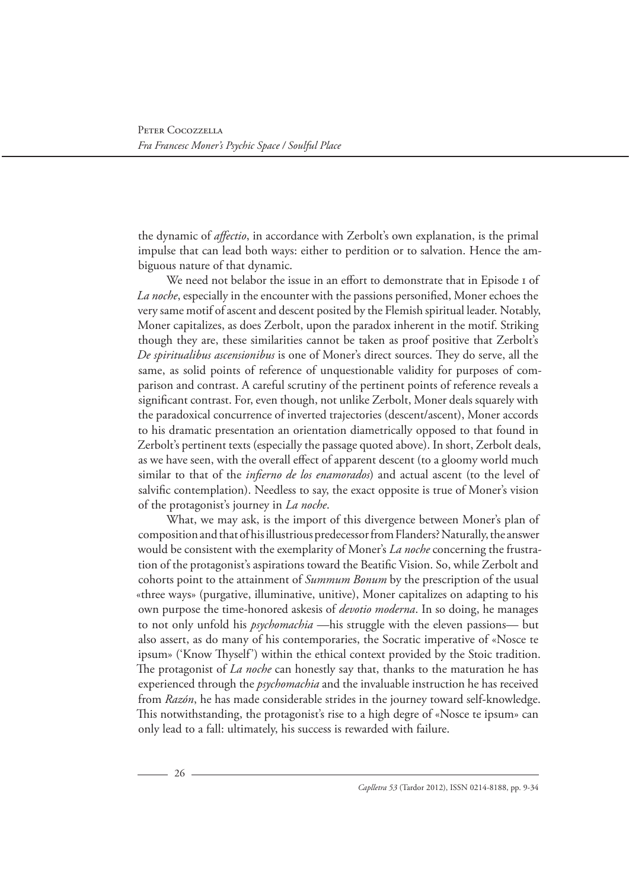the dynamic of *affectio*, in accordance with Zerbolt's own explanation, is the primal impulse that can lead both ways: either to perdition or to salvation. Hence the ambiguous nature of that dynamic.

We need not belabor the issue in an effort to demonstrate that in Episode 1 of *La noche*, especially in the encounter with the passions personified, Moner echoes the very same motif of ascent and descent posited by the Flemish spiritual leader. Notably, Moner capitalizes, as does Zerbolt, upon the paradox inherent in the motif. Striking though they are, these similarities cannot be taken as proof positive that Zerbolt's *De spiritualibus ascensionibus* is one of Moner's direct sources. They do serve, all the same, as solid points of reference of unquestionable validity for purposes of comparison and contrast. A careful scrutiny of the pertinent points of reference reveals a significant contrast. For, even though, not unlike Zerbolt, Moner deals squarely with the paradoxical concurrence of inverted trajectories (descent/ascent), Moner accords to his dramatic presentation an orientation diametrically opposed to that found in Zerbolt's pertinent texts (especially the passage quoted above). In short, Zerbolt deals, as we have seen, with the overall effect of apparent descent (to a gloomy world much similar to that of the *infierno de los enamorados*) and actual ascent (to the level of salvific contemplation). Needless to say, the exact opposite is true of Moner's vision of the protagonist's journey in *La noche*.

What, we may ask, is the import of this divergence between Moner's plan of composition and that of his illustrious predecessor from Flanders? Naturally, the answer would be consistent with the exemplarity of Moner's *La noche* concerning the frustration of the protagonist's aspirations toward the Beatific Vision. So, while Zerbolt and cohorts point to the attainment of *Summum Bonum* by the prescription of the usual «three ways» (purgative, illuminative, unitive), Moner capitalizes on adapting to his own purpose the time-honored askesis of *devotio moderna*. In so doing, he manages to not only unfold his *psychomachia* —his struggle with the eleven passions— but also assert, as do many of his contemporaries, the Socratic imperative of «Nosce te ipsum» ('Know Thyself') within the ethical context provided by the Stoic tradition. The protagonist of *La noche* can honestly say that, thanks to the maturation he has experienced through the *psychomachia* and the invaluable instruction he has received from *Razón*, he has made considerable strides in the journey toward self-knowledge. This notwithstanding, the protagonist's rise to a high degre of «Nosce te ipsum» can only lead to a fall: ultimately, his success is rewarded with failure.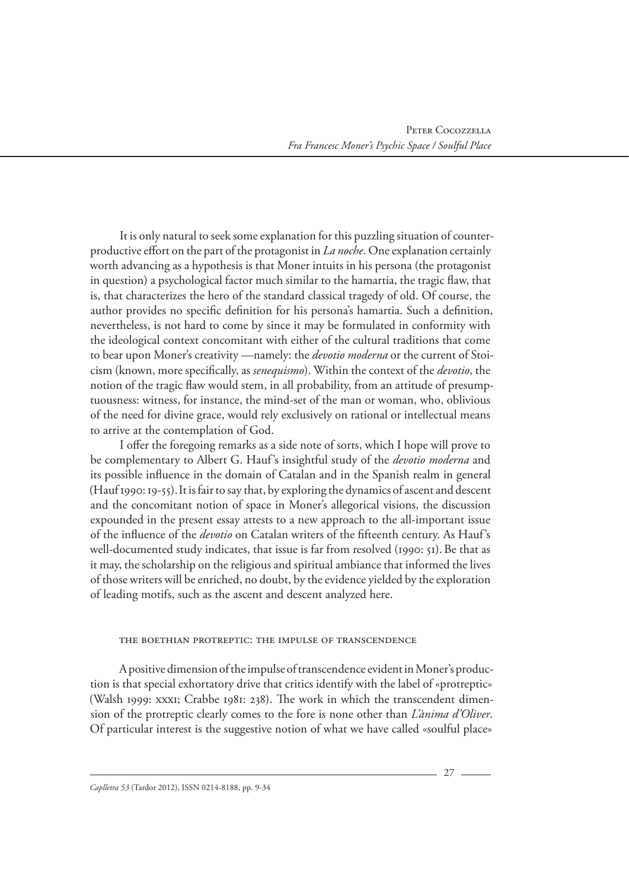It is only natural to seek some explanation for this puzzling situation of counterproductive effort on the part of the protagonist in *La noche*. One explanation certainly worth advancing as a hypothesis is that Moner intuits in his persona (the protagonist in question) a psychological factor much similar to the hamartia, the tragic flaw, that is, that characterizes the hero of the standard classical tragedy of old. Of course, the author provides no specific definition for his persona's hamartia. Such a definition, nevertheless, is not hard to come by since it may be formulated in conformity with the ideological context concomitant with either of the cultural traditions that come to bear upon Moner's creativity —namely: the *devotio moderna* or the current of Stoicism (known, more specifically, as *senequismo*). Within the context of the *devotio*, the notion of the tragic flaw would stem, in all probability, from an attitude of presumptuousness: witness, for instance, the mind-set of the man or woman, who, oblivious of the need for divine grace, would rely exclusively on rational or intellectual means to arrive at the contemplation of God.

I offer the foregoing remarks as a side note of sorts, which I hope will prove to be complementary to Albert G. Hauf's insightful study of the *devotio moderna* and its possible influence in the domain of Catalan and in the Spanish realm in general (Hauf 1990: 19-55).It is fair to say that, by exploring the dynamics of ascent and descent and the concomitant notion of space in Moner's allegorical visions, the discussion expounded in the present essay attests to a new approach to the all-important issue of the influence of the *devotio* on Catalan writers of the fifteenth century. As Hauf's well-documented study indicates, that issue is far from resolved (1990: 51). Be that as it may, the scholarship on the religious and spiritual ambiance that informed the lives of those writers will be enriched, no doubt, by the evidence yielded by the exploration of leading motifs, such as the ascent and descent analyzed here.

# The Boethian Protreptic: The Impulse of Transcendence

A positive dimension of the impulse of transcendence evident in Moner's production is that special exhortatory drive that critics identify with the label of «protreptic» (Walsh 1999: xxxi; Crabbe 1981: 238). The work in which the transcendent dimension of the protreptic clearly comes to the fore is none other than *L'ànima d'Oliver*. Of particular interest is the suggestive notion of what we have called «soulful place»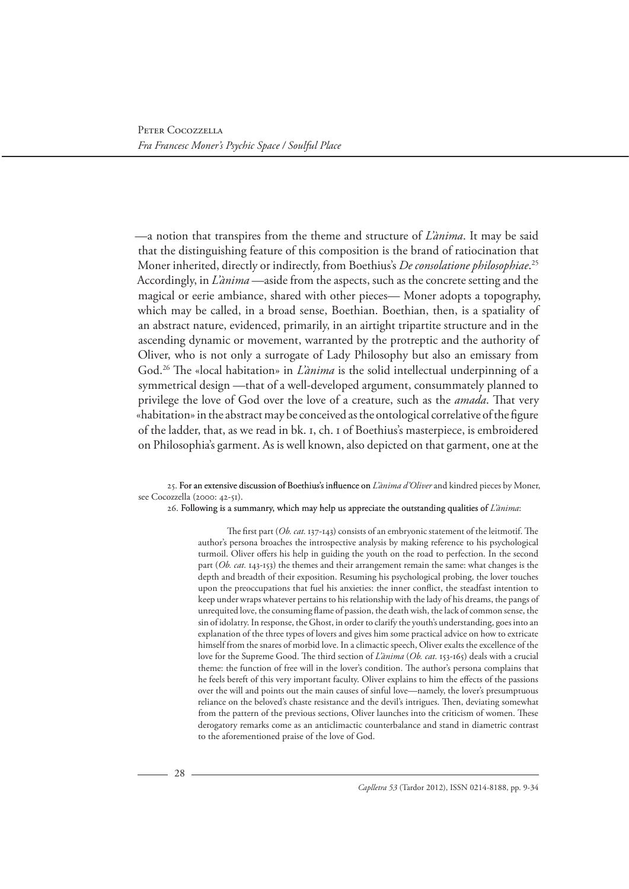—a notion that transpires from the theme and structure of *L'ànima*. It may be said that the distinguishing feature of this composition is the brand of ratiocination that Moner inherited, directly or indirectly, from Boethius's *De consolatione philosophiae*. 25 Accordingly, in *L'ànima* —aside from the aspects, such as the concrete setting and the magical or eerie ambiance, shared with other pieces— Moner adopts a topography, which may be called, in a broad sense, Boethian. Boethian, then, is a spatiality of an abstract nature, evidenced, primarily, in an airtight tripartite structure and in the ascending dynamic or movement, warranted by the protreptic and the authority of Oliver, who is not only a surrogate of Lady Philosophy but also an emissary from God.26 The «local habitation» in *L'ànima* is the solid intellectual underpinning of a symmetrical design —that of a well-developed argument, consummately planned to privilege the love of God over the love of a creature, such as the *amada*. That very «habitation» in the abstract may be conceived as the ontological correlative of the figure of the ladder, that, as we read in bk. 1, ch. 1 of Boethius's masterpiece, is embroidered on Philosophia's garment. As is well known, also depicted on that garment, one at the

#### 25. For an extensive discussion of Boethius's influence on *L'ànima d'Oliver* and kindred pieces by Moner, see Cocozzella (2000: 42-51).

#### 26. Following is a summanry, which may help us appreciate the outstanding qualities of *L'ànima*:

The first part (*Ob. cat.* 137-143) consists of an embryonic statement of the leitmotif. The author's persona broaches the introspective analysis by making reference to his psychological turmoil. Oliver offers his help in guiding the youth on the road to perfection. In the second part (*Ob. cat.* 143-153) the themes and their arrangement remain the same: what changes is the depth and breadth of their exposition. Resuming his psychological probing, the lover touches upon the preoccupations that fuel his anxieties: the inner conflict, the steadfast intention to keep under wraps whatever pertains to his relationship with the lady of his dreams, the pangs of unrequited love, the consuming flame of passion, the death wish, the lack of common sense, the sin of idolatry. In response, the Ghost, in order to clarify the youth's understanding, goes into an explanation of the three types of lovers and gives him some practical advice on how to extricate himself from the snares of morbid love. In a climactic speech, Oliver exalts the excellence of the love for the Supreme Good. The third section of *L'ànima* (*Ob. cat.* 153-165) deals with a crucial theme: the function of free will in the lover's condition. The author's persona complains that he feels bereft of this very important faculty. Oliver explains to him the effects of the passions over the will and points out the main causes of sinful love—namely, the lover's presumptuous reliance on the beloved's chaste resistance and the devil's intrigues. Then, deviating somewhat from the pattern of the previous sections, Oliver launches into the criticism of women. These derogatory remarks come as an anticlimactic counterbalance and stand in diametric contrast to the aforementioned praise of the love of God.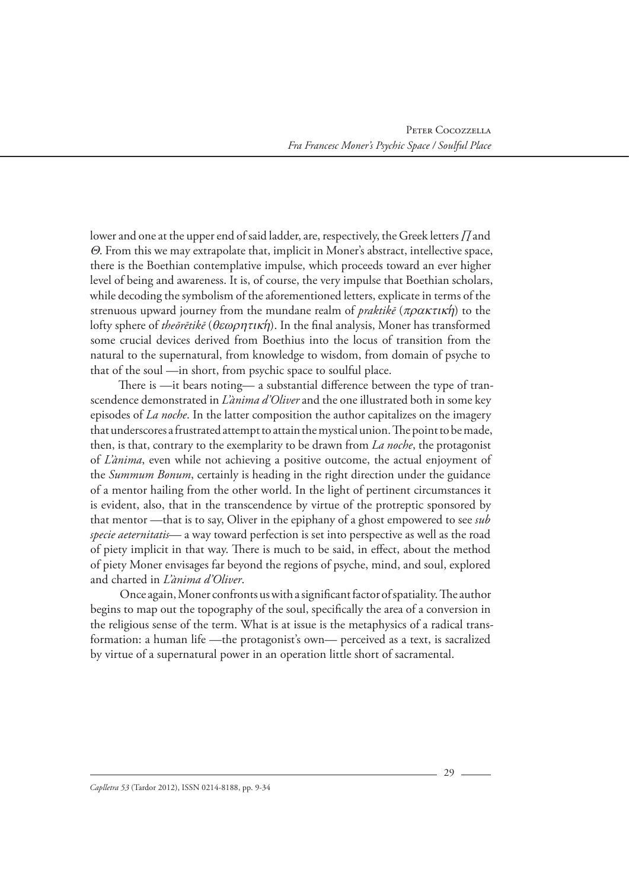lower and one at the upper end of said ladder, are, respectively, the Greek letters *Π* and Θ. From this we may extrapolate that, implicit in Moner's abstract, intellective space, there is the Boethian contemplative impulse, which proceeds toward an ever higher level of being and awareness. It is, of course, the very impulse that Boethian scholars, while decoding the symbolism of the aforementioned letters, explicate in terms of the strenuous upward journey from the mundane realm of *praktike* ( $\pi \rho \alpha \kappa \tau \iota \kappa \eta$ ) to the lofty sphere of *theōrētikē* (θεωρητικη′ ). In the final analysis, Moner has transformed some crucial devices derived from Boethius into the locus of transition from the natural to the supernatural, from knowledge to wisdom, from domain of psyche to that of the soul —in short, from psychic space to soulful place.

There is —it bears noting— a substantial difference between the type of transcendence demonstrated in *L'ànima d'Oliver* and the one illustrated both in some key episodes of *La noche*. In the latter composition the author capitalizes on the imagery that underscores a frustrated attempt to attain the mystical union. The point to be made, then, is that, contrary to the exemplarity to be drawn from *La noche*, the protagonist of *L'ànima*, even while not achieving a positive outcome, the actual enjoyment of the *Summum Bonum*, certainly is heading in the right direction under the guidance of a mentor hailing from the other world. In the light of pertinent circumstances it is evident, also, that in the transcendence by virtue of the protreptic sponsored by that mentor —that is to say, Oliver in the epiphany of a ghost empowered to see *sub specie aeternitatis*— a way toward perfection is set into perspective as well as the road of piety implicit in that way. There is much to be said, in effect, about the method of piety Moner envisages far beyond the regions of psyche, mind, and soul, explored and charted in *L'ànima d'Oliver*.

Once again, Moner confronts us with a significant factor of spatiality. The author begins to map out the topography of the soul, specifically the area of a conversion in the religious sense of the term. What is at issue is the metaphysics of a radical transformation: a human life —the protagonist's own— perceived as a text, is sacralized by virtue of a supernatural power in an operation little short of sacramental.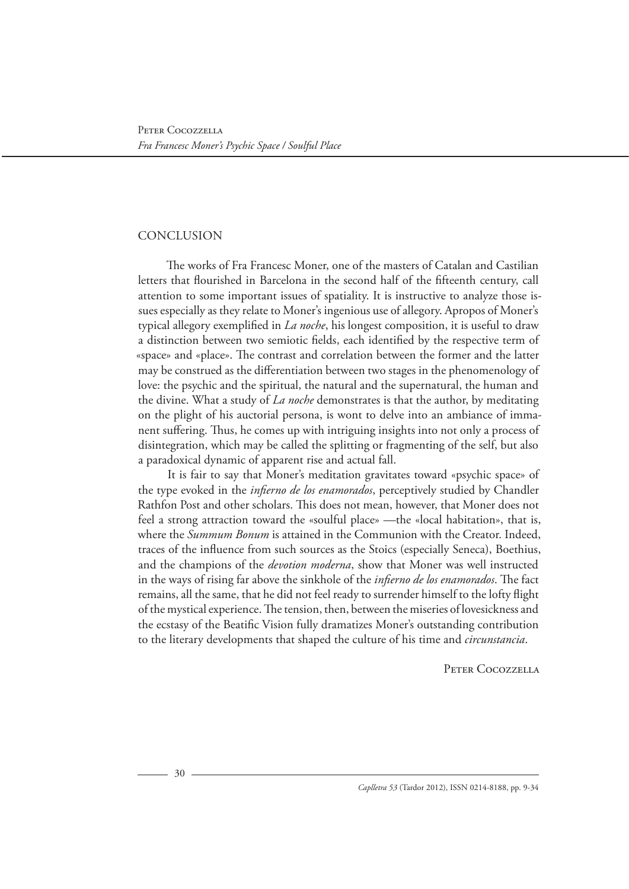# **CONCLUSION**

The works of Fra Francesc Moner, one of the masters of Catalan and Castilian letters that flourished in Barcelona in the second half of the fifteenth century, call attention to some important issues of spatiality. It is instructive to analyze those issues especially as they relate to Moner's ingenious use of allegory. Apropos of Moner's typical allegory exemplified in *La noche*, his longest composition, it is useful to draw a distinction between two semiotic fields, each identified by the respective term of «space» and «place». The contrast and correlation between the former and the latter may be construed as the differentiation between two stages in the phenomenology of love: the psychic and the spiritual, the natural and the supernatural, the human and the divine. What a study of *La noche* demonstrates is that the author, by meditating on the plight of his auctorial persona, is wont to delve into an ambiance of immanent suffering. Thus, he comes up with intriguing insights into not only a process of disintegration, which may be called the splitting or fragmenting of the self, but also a paradoxical dynamic of apparent rise and actual fall.

It is fair to say that Moner's meditation gravitates toward «psychic space» of the type evoked in the *infierno de los enamorados*, perceptively studied by Chandler Rathfon Post and other scholars. This does not mean, however, that Moner does not feel a strong attraction toward the «soulful place» —the «local habitation», that is, where the *Summum Bonum* is attained in the Communion with the Creator. Indeed, traces of the influence from such sources as the Stoics (especially Seneca), Boethius, and the champions of the *devotion moderna*, show that Moner was well instructed in the ways of rising far above the sinkhole of the *infierno de los enamorados*. The fact remains, all the same, that he did not feel ready to surrender himself to the lofty flight of the mystical experience. The tension, then, between the miseries of lovesickness and the ecstasy of the Beatific Vision fully dramatizes Moner's outstanding contribution to the literary developments that shaped the culture of his time and *circunstancia*.

Peter Cocozzella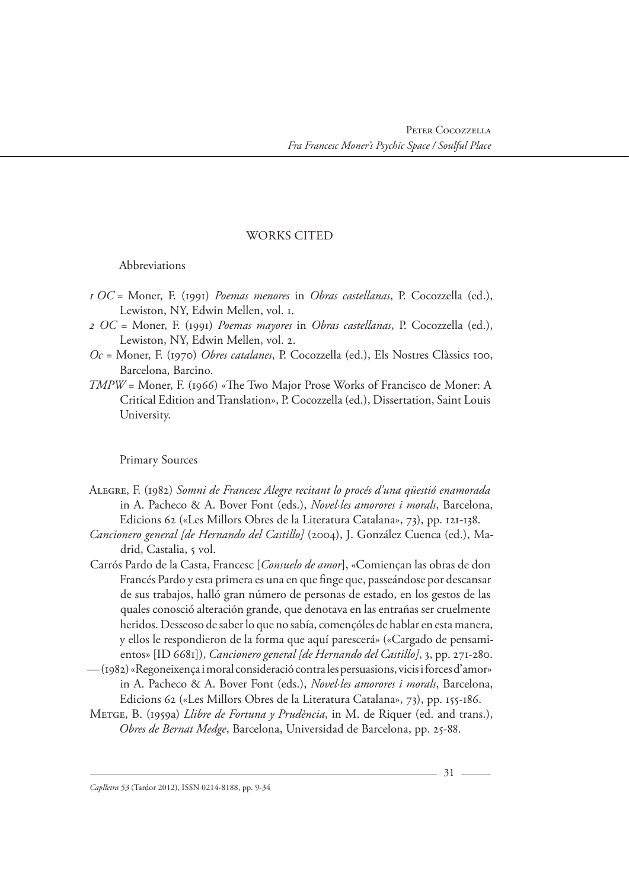# WORKS CITED

# Abbreviations

- *1 OC* = Moner, F. (1991) *Poemas menores* in *Obras castellanas*, P. Cocozzella (ed.), Lewiston, NY, Edwin Mellen, vol. 1.
- *2 OC* = Moner, F. (1991) *Poemas mayores* in *Obras castellanas*, P. Cocozzella (ed.), Lewiston, NY, Edwin Mellen, vol. 2.
- *Oc* = Moner, F. (1970) *Obres catalanes*, P. Cocozzella (ed.), Els Nostres Clàssics 100, Barcelona, Barcino.
- *TMPW* = Moner, F. (1966) «The Two Major Prose Works of Francisco de Moner: A Critical Edition and Translation», P. Cocozzella (ed.), Dissertation, Saint Louis University.

# Primary Sources

- ALEGRE, F. (1982) *Somni de Francesc Alegre recitant lo procés d'una qüestió enamorada* in A. Pacheco & A. Bover Font (eds.), *Novel·les amorores i morals*, Barcelona, Edicions 62 («Les Millors Obres de la Literatura Catalana», 73), pp. 121-138.
- *Cancionero general [de Hernando del Castillo]* (2004), J. González Cuenca (ed.), Madrid, Castalia, 5 vol.
- Carrós Pardo de la Casta, Francesc [*Consuelo de amor*], «Comiençan las obras de don Francés Pardo y esta primera es una en que finge que, passeándose por descansar de sus trabajos, halló gran número de personas de estado, en los gestos de las quales conosció alteración grande, que denotava en las entrañas ser cruelmente heridos. Desseoso de saber lo que no sabía, començóles de hablar en esta manera, y ellos le respondieron de la forma que aquí parescerá» («Cargado de pensamientos» [ID 6681]), *Cancionero general [de Hernando del Castillo]*, 3, pp. 271-280.
- (1982) «Regoneixença i moral consideració contra les persuasions, vicis i forces d'amor» in A. Pacheco & A. Bover Font (eds.), *Novel·les amorores i morals*, Barcelona, Edicions 62 («Les Millors Obres de la Literatura Catalana», 73), pp. 155-186.
- METGE, B. (1959a) *Llibre de Fortuna y Prudència*, in M. de Riquer (ed. and trans.), *Obres de Bernat Medge*, Barcelona, Universidad de Barcelona, pp. 25-88.

*Caplletra 53* (Tardor 2012), ISSN 0214-8188, pp. 9-34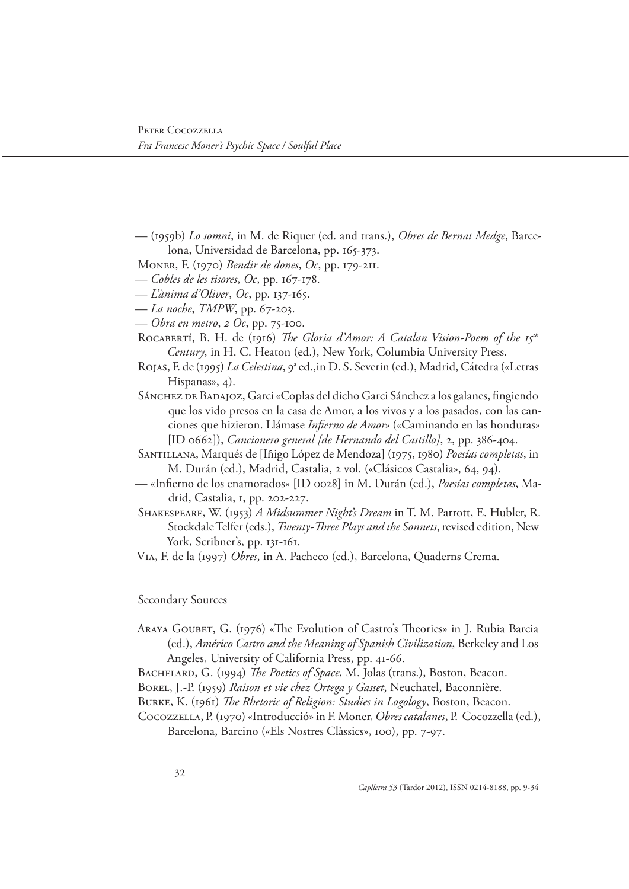— (1959b) *Lo somni*, in M. de Riquer (ed. and trans.), *Obres de Bernat Medge*, Barcelona, Universidad de Barcelona, pp. 165-373.

MONER, F. (1970) *Bendir de dones*, *Oc*, pp. 179-211.

— *Cobles de les tisores*, *Oc*, pp. 167-178.

— *L'ànima d'Oliver*, *Oc*, pp. 137-165.

— *La noche*, *TMPW*, pp. 67-203.

— *Obra en metro*, *2 Oc*, pp. 75-100.

ROCABERTÍ, B. H. de (1916) *The Gloria d'Amor: A Catalan Vision-Poem of the 15th Century*, in H. C. Heaton (ed.), New York, Columbia University Press.

- Rojas, F. de (1995) *La Celestina*, 9ª ed.,in D. S. Severin (ed.), Madrid, Cátedra («Letras Hispanas», 4).
- SÁNCHEZ DE BADAJOZ, Garci «Coplas del dicho Garci Sánchez a los galanes, fingiendo que los vido presos en la casa de Amor, a los vivos y a los pasados, con las canciones que hizieron. Llámase *Infierno de Amor*» («Caminando en las honduras» [ID 0662]), *Cancionero general [de Hernando del Castillo]*, 2, pp. 386-404.
- SANTILLANA, Marqués de [Iñigo López de Mendoza] (1975, 1980) *Poesías completas*, in M. Durán (ed.), Madrid, Castalia, 2 vol. («Clásicos Castalia», 64, 94).
- «Infierno de los enamorados» [ID 0028] in M. Durán (ed.), *Poesías completas*, Madrid, Castalia, 1, pp. 202-227.
- SHAKESPEARE, W. (1953) *A Midsummer Night's Dream* in T. M. Parrott, E. Hubler, R. Stockdale Telfer (eds.), *Twenty-Three Plays and the Sonnets*, revised edition, New York, Scribner's, pp. 131-161.

VIA, F. de la (1997) *Obres*, in A. Pacheco (ed.), Barcelona, Quaderns Crema.

# Secondary Sources

ARAYA GOUBET, G. (1976) «The Evolution of Castro's Theories» in J. Rubia Barcia (ed.), *Américo Castro and the Meaning of Spanish Civilization*, Berkeley and Los Angeles, University of California Press, pp. 41-66.

BACHELARD, G. (1994) *The Poetics of Space*, M. Jolas (trans.), Boston, Beacon.

BOREL, J.-P. (1959) *Raison et vie chez Ortega y Gasset*, Neuchatel, Baconnière.

BURKE, K. (1961) *The Rhetoric of Religion: Studies in Logology*, Boston, Beacon.

Cocozzella, P. (1970) «Introducció» in F. Moner, *Obres catalanes*, P. Cocozzella (ed.), Barcelona, Barcino («Els Nostres Clàssics», 100), pp. 7-97.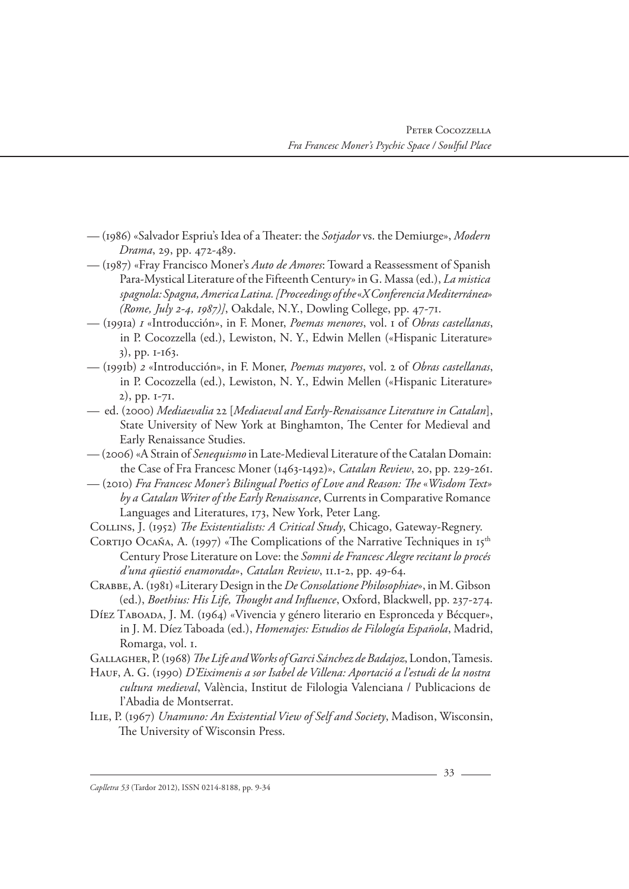- (1986) «Salvador Espriu's Idea of a Theater: the *Sotjador* vs. the Demiurge», *Modern Drama*, 29, pp. 472-489.
- (1987) «Fray Francisco Moner's *Auto de Amores*: Toward a Reassessment of Spanish Para-Mystical Literature of the Fifteenth Century» in G. Massa (ed.), *La mistica spagnola: Spagna, America Latina. [Proceedings of the* «*X Conferencia Mediterránea*» *(Rome, July 2-4, 1987)]*, Oakdale, N.Y., Dowling College, pp. 47-71.
- (1991a) *1* «Introducción», in F. Moner, *Poemas menores*, vol. 1 of *Obras castellanas*, in P. Cocozzella (ed.), Lewiston, N. Y., Edwin Mellen («Hispanic Literature» 3), pp. 1-163.
- (1991b) *2* «Introducción», in F. Moner, *Poemas mayores*, vol. 2 of *Obras castellanas*, in P. Cocozzella (ed.), Lewiston, N. Y., Edwin Mellen («Hispanic Literature» 2), pp. 1-71.
- ed. (2000) *Mediaevalia* 22 [*Mediaeval and Early-Renaissance Literature in Catalan*], State University of New York at Binghamton, The Center for Medieval and Early Renaissance Studies.
- (2006) «A Strain of *Senequismo* in Late-Medieval Literature of the Catalan Domain: the Case of Fra Francesc Moner (1463-1492)», *Catalan Review*, 20, pp. 229-261.
- (2010) *Fra Francesc Moner's Bilingual Poetics of Love and Reason: The* «*Wisdom Text» by a Catalan Writer of the Early Renaissance*, Currents in Comparative Romance Languages and Literatures, 173, New York, Peter Lang.
- COLLINS, J. (1952) *The Existentialists: A Critical Study*, Chicago, Gateway-Regnery.
- CORTIJO OCAÑA, A. (1997) «The Complications of the Narrative Techniques in 15<sup>th</sup> Century Prose Literature on Love: the *Somni de Francesc Alegre recitant lo procés d'una qüestió enamorada*», *Catalan Review*, 11.1-2, pp. 49-64.
- CRABBE, A. (1981) «Literary Design in the *De Consolatione Philosophiae*», in M. Gibson (ed.), *Boethius: His Life, Thought and Influence*, Oxford, Blackwell, pp. 237-274.
- DÍEZ TABOADA, J. M. (1964) «Vivencia y género literario en Espronceda y Bécquer», in J. M. Díez Taboada (ed.), *Homenajes: Estudios de Filología Española*, Madrid, Romarga, vol. 1.
- GALLAGHER, P. (1968) *The Life and Works of Garci Sánchez de Badajoz*, London, Tamesis.
- HAUF, A. G. (1990) *D'Eiximenis a sor Isabel de Villena: Aportació a l'estudi de la nostra cultura medieval*, València, Institut de Filologia Valenciana / Publicacions de l'Abadia de Montserrat.
- ILIE, P. (1967) *Unamuno: An Existential View of Self and Society*, Madison, Wisconsin, The University of Wisconsin Press.

*Caplletra 53* (Tardor 2012), ISSN 0214-8188, pp. 9-34